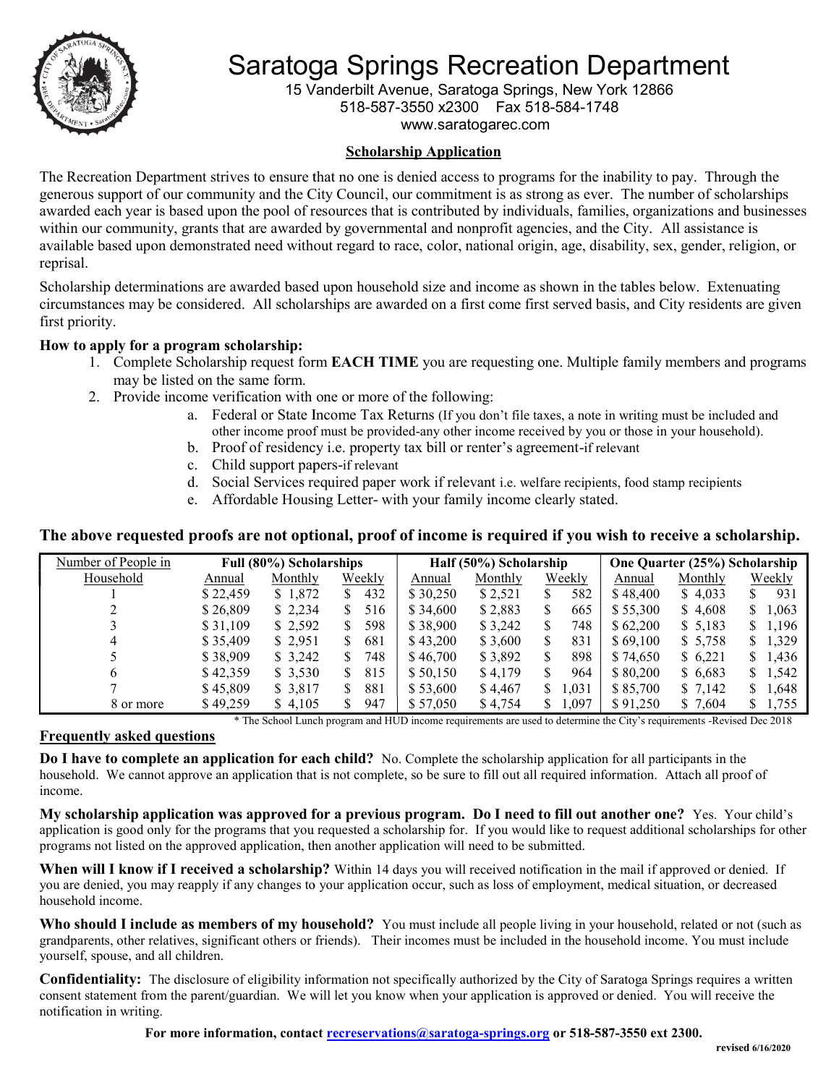

# Saratoga Springs Recreation Department Saratoga Springs Department

15 Vanderbilt Avenue, Saratoga Springs, New York 12866

518-587-3550 x2300 Fax 518-584-1748

www.saratogarec.com

### Scholarship Application

The Recreation Department strives to ensure that no one is denied access to programs for the inability to pay. Through the generous support of our community and the City Council, our commitment is as strong as ever. The number of scholarships awarded each year is based upon the pool of resources that is contributed by individuals, families, organizations and businesses within our community, grants that are awarded by governmental and nonprofit agencies, and the City. All assistance is available based upon demonstrated need without regard to race, color, national origin, age, disability, sex, gender, religion, or reprisal. available based upon demonstrated need without regard to race, color, national origin, age, disability, sex, gender, religion, e<br>reprisal.<br>Scholarship determinations are awarded based upon household size and income as show

circumstances may be considered. All scholarships are awarded on a first come first served basis, and City residents are given first priority.

## How to apply for a program scholarship:

- 1. Complete Scholarship request form EACH TIME you are requesting one. Multiple family members and programs may be listed on the same form.
- 2. Provide income verification with one or more of the following:
	- a. Federal or State Income Tax Returns (If you don't file taxes, a note in writing must be included and other income proof must be provided-any other income received by you or those in your household).
	- b. Proof of residency i.e. property tax bill or renter's agreement-if relevant
	- c. Child support papers-if relevant
	- d. Social Services required paper work if relevant i.e. welfare recipients, food stamp recipients
	- e. Affordable Housing Letter- with your family income clearly stated.

#### The above requested proofs are not optional, proof of income is required if you wish to receive a scholarship.

| Number of People in |          | Full (80%) Scholarships |           | Half (50%) Scholarship |         |            | One Quarter (25%) Scholarship |         |            |
|---------------------|----------|-------------------------|-----------|------------------------|---------|------------|-------------------------------|---------|------------|
| Household           | Annual   | Monthly                 | Weekly    | Annual                 | Monthly | Weekly     | Annual                        | Monthly | Weekly     |
|                     | \$22,459 | \$1,872                 | 432<br>S. | \$30,250               | \$2,521 | 582        | \$48,400                      | \$4,033 | 931        |
|                     | \$26,809 | \$2,234                 | 516<br>S. | \$34,600               | \$2,883 | 665        | \$55,300                      | \$4,608 | 1,063<br>S |
|                     | \$31,109 | \$2,592                 | 598       | \$38,900               | \$3,242 | 748        | \$62,200                      | \$5,183 | 1,196<br>S |
|                     | \$35,409 | \$2,951                 | 681       | \$43,200               | \$3,600 | 831        | \$69,100                      | \$5,758 | 1,329<br>S |
|                     | \$38,909 | \$3,242                 | 748       | \$46,700               | \$3,892 | 898        | \$74.650                      | \$6,221 | 1,436<br>S |
| 6                   | \$42,359 | \$3,530                 | 815<br>S. | \$50.150               | \$4,179 | 964        | \$80,200                      | \$6,683 | 1,542<br>S |
|                     | \$45,809 | \$ 3,817                | 881<br>S. | \$53,600               | \$4,467 | 1,031<br>S | \$85,700                      | \$7,142 | 1,648<br>S |
| 8 or more           | \$49,259 | \$4,105                 | 947       | \$57,050               | \$4,754 | 1,097      | \$91,250                      | \$7,604 | 1,755      |

\* The School Lunch School Lunch program and HUD income requirements are used to determine the City's requirements -Revised Dec 2018

#### Frequently asked questions

Do I have to complete an application for each child? No. Complete the scholarship application for all participants in the **Do I have to complete an application for each child?** No. Complete the scholarship application for all participants in the household. We cannot approve an application that is not complete, so be sure to fill out all requi income.

My scholarship application was approved for a previous program. Do I need to fill out another one? Yes. Your child's application is good only for the programs that you requested a scholarship for. If you would like to request additional scholarships for other programs not listed on the approved application, then another application will need to be submitted. . If you would like to request additional scholarships for other<br>need to be submitted.<br>l received notification in the mail if approved or denied. If<br>the as loss of employment, medical situation, or decreased

When will I know if I received a scholarship? Within 14 days you will received notification in the mail if approved or denied. If you are denied, you may reapply if any changes to your application occur, such as loss of employment, medical situation, or household income.

Who should I include as members of my household? You must include all people living in your household, related or not (such as Who should I include as members of my household? You must include all people living in your household, related or not (such as grandparents, other relatives, significant others or friends). Their incomes must be included i yourself, spouse, and all children.

Confidentiality: The disclosure of eligibility information not specifically authorized by the City of Saratoga Springs requires a written **Confidentiality:** The disclosure of eligibility information not specifically authorized by the City of Saratoga Springs requires a writt consent statement from the parent/guardian. We will let you know when your applicati notification in writing.